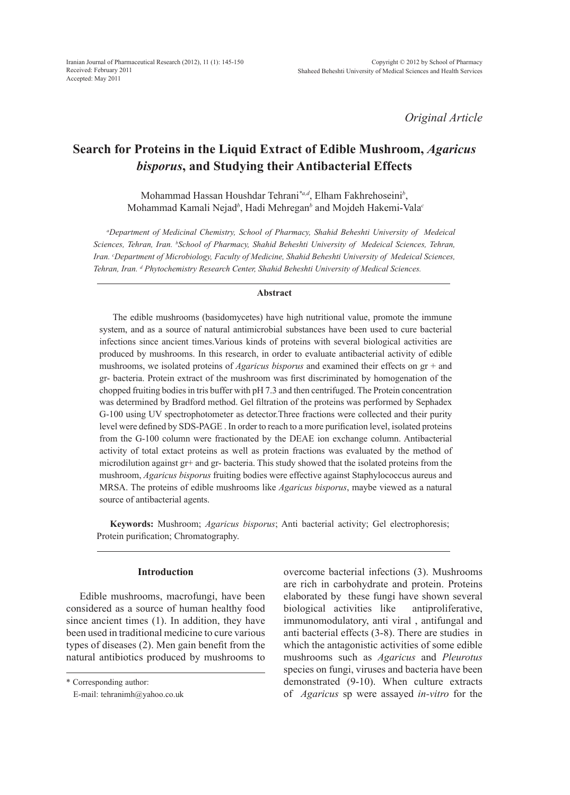*Original Article*

# **Search for Proteins in the Liquid Extract of Edible Mushroom,** *Agaricus bisporus***, and Studying their Antibacterial Effects**

Mohammad Hassan Houshdar Tehrani*\*a,d*, Elham Fakhrehoseini*<sup>b</sup>* , Mohammad Kamali Nejad<sup>b</sup>, Hadi Mehregan<sup>b</sup> and Mojdeh Hakemi-Vala<sup>c</sup>

*a Department of Medicinal Chemistry, School of Pharmacy, Shahid Beheshti University of Medeical*  Sciences, Tehran, Iran. <sup>b</sup>School of Pharmacy, Shahid Beheshti University of Medeical Sciences, Tehran, *Iran. c Department of Microbiology, Faculty of Medicine, Shahid Beheshti University of Medeical Sciences, Tehran, Iran. d Phytochemistry Research Center, Shahid Beheshti University of Medical Sciences.*

## **Abstract**

The edible mushrooms (basidomycetes) have high nutritional value, promote the immune system, and as a source of natural antimicrobial substances have been used to cure bacterial infections since ancient times.Various kinds of proteins with several biological activities are produced by mushrooms. In this research, in order to evaluate antibacterial activity of edible mushrooms, we isolated proteins of *Agaricus bisporus* and examined their effects on gr + and gr- bacteria. Protein extract of the mushroom was first discriminated by homogenation of the chopped fruiting bodies in tris buffer with pH 7.3 and then centrifuged. The Protein concentration was determined by Bradford method. Gel filtration of the proteins was performed by Sephadex G-100 using UV spectrophotometer as detector.Three fractions were collected and their purity level were defined by SDS-PAGE . In order to reach to a more purification level, isolated proteins from the G-100 column were fractionated by the DEAE ion exchange column. Antibacterial activity of total extact proteins as well as protein fractions was evaluated by the method of microdilution against gr+ and gr- bacteria. This study showed that the isolated proteins from the mushroom, *Agaricus bisporus* fruiting bodies were effective against Staphylococcus aureus and MRSA. The proteins of edible mushrooms like *Agaricus bisporus*, maybe viewed as a natural source of antibacterial agents.

**Keywords:** Mushroom; *Agaricus bisporus*; Anti bacterial activity; Gel electrophoresis; Protein purification; Chromatography.

## **Introduction**

Edible mushrooms, macrofungi, have been considered as a source of human healthy food since ancient times (1). In addition, they have been used in traditional medicine to cure various types of diseases (2). Men gain benefit from the natural antibiotics produced by mushrooms to overcome bacterial infections (3). Mushrooms are rich in carbohydrate and protein. Proteins elaborated by these fungi have shown several biological activities like antiproliferative, immunomodulatory, anti viral , antifungal and anti bacterial effects (3-8). There are studies in which the antagonistic activities of some edible mushrooms such as *Agaricus* and *Pleurotus* species on fungi, viruses and bacteria have been demonstrated (9-10). When culture extracts of *Agaricus* sp were assayed *in-vitro* for the

<sup>\*</sup> Corresponding author:

E-mail: tehranimh@yahoo.co.uk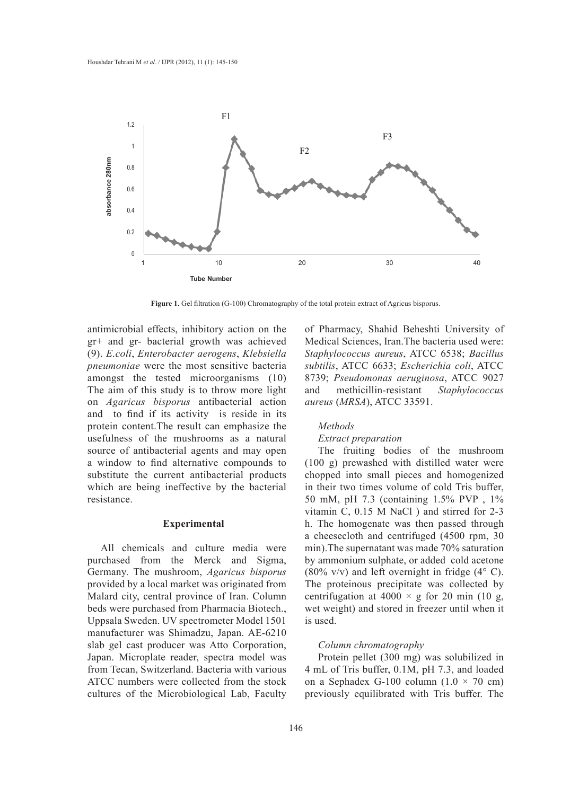

**Figure 1.** Gel filtration (G-100) Chromatography of the total protein extract of Agricus bisporus.

antimicrobial effects, inhibitory action on the gr+ and gr- bacterial growth was achieved (9). *E.coli*, *Enterobacter aerogens*, *Klebsiella pneumoniae* were the most sensitive bacteria amongst the tested microorganisms (10) The aim of this study is to throw more light on *Agaricus bisporus* antibacterial action and to find if its activity is reside in its protein content.The result can emphasize the usefulness of the mushrooms as a natural source of antibacterial agents and may open a window to find alternative compounds to substitute the current antibacterial products which are being ineffective by the bacterial resistance.

## **Experimental**

All chemicals and culture media were purchased from the Merck and Sigma, Germany. The mushroom, *Agaricus bisporus* provided by a local market was originated from Malard city, central province of Iran. Column beds were purchased from Pharmacia Biotech., Uppsala Sweden. UV spectrometer Model 1501 manufacturer was Shimadzu, Japan. AE-6210 slab gel cast producer was Atto Corporation, Japan. Microplate reader, spectra model was from Tecan, Switzerland. Bacteria with various ATCC numbers were collected from the stock cultures of the Microbiological Lab, Faculty

of Pharmacy, Shahid Beheshti University of Medical Sciences, Iran.The bacteria used were: *Staphylococcus aureus*, ATCC 6538; *Bacillus subtilis*, ATCC 6633; *Escherichia coli*, ATCC 8739; *Pseudomonas aeruginosa*, ATCC 9027 and methicillin-resistant *Staphylococcus aureus* (*MRSA*), ATCC 33591.

### *Methods*

# *Extract preparation*

The fruiting bodies of the mushroom (100 g) prewashed with distilled water were chopped into small pieces and homogenized in their two times volume of cold Tris buffer, 50 mM, pH 7.3 (containing 1.5% PVP , 1% vitamin C, 0.15 M NaCl ) and stirred for 2-3 h. The homogenate was then passed through a cheesecloth and centrifuged (4500 rpm, 30 min).The supernatant was made 70% saturation by ammonium sulphate, or added cold acetone (80% v/v) and left overnight in fridge  $(4^{\circ} \text{ C})$ . The proteinous precipitate was collected by centrifugation at  $4000 \times g$  for 20 min (10 g, wet weight) and stored in freezer until when it is used.

# *Column chromatography*

Protein pellet (300 mg) was solubilized in 4 mL of Tris buffer, 0.1M, pH 7.3, and loaded on a Sephadex G-100 column  $(1.0 \times 70 \text{ cm})$ previously equilibrated with Tris buffer. The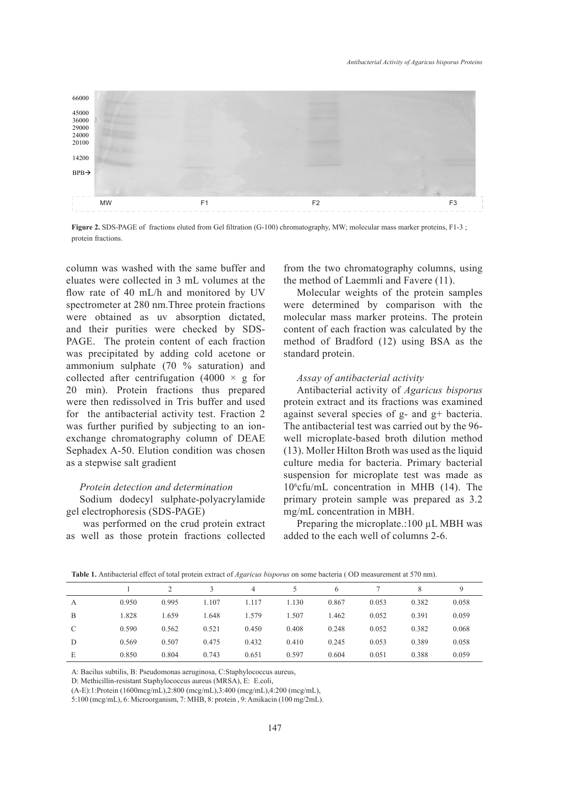

**Figure 2.** SDS-PAGE of fractions eluted from Gel filtration (G-100) chromatography, MW; molecular mass marker proteins, F1-3 ; protein fractions.

column was washed with the same buffer and eluates were collected in 3 mL volumes at the flow rate of 40 mL/h and monitored by UV spectrometer at 280 nm.Three protein fractions were obtained as uv absorption dictated, and their purities were checked by SDS-PAGE. The protein content of each fraction was precipitated by adding cold acetone or ammonium sulphate (70 % saturation) and collected after centrifugation (4000  $\times$  g for 20 min). Protein fractions thus prepared were then redissolved in Tris buffer and used for the antibacterial activity test. Fraction 2 was further purified by subjecting to an ionexchange chromatography column of DEAE Sephadex A-50. Elution condition was chosen as a stepwise salt gradient

#### *Protein detection and determination*

Sodium dodecyl sulphate-polyacrylamide gel electrophoresis (SDS-PAGE)

 was performed on the crud protein extract as well as those protein fractions collected from the two chromatography columns, using the method of Laemmli and Favere (11).

Molecular weights of the protein samples were determined by comparison with the molecular mass marker proteins. The protein content of each fraction was calculated by the method of Bradford (12) using BSA as the standard protein.

## *Assay of antibacterial activity*

Antibacterial activity of *Agaricus bisporus* protein extract and its fractions was examined against several species of g- and g+ bacteria. The antibacterial test was carried out by the 96 well microplate-based broth dilution method (13). Moller Hilton Broth was used as the liquid culture media for bacteria. Primary bacterial suspension for microplate test was made as 10<sup>6</sup> cfu/mL concentration in MHB (14). The primary protein sample was prepared as 3.2 mg/mL concentration in MBH.

Preparing the microplate.:100 µL MBH was added to the each well of columns 2-6.

|   |       |       | $\mathbf{R}$ | $\overline{4}$ |       | 6     |       | 8     | Q     |
|---|-------|-------|--------------|----------------|-------|-------|-------|-------|-------|
| A | 0.950 | 0.995 | 1.107        | 1.117          | 1.130 | 0.867 | 0.053 | 0.382 | 0.058 |
| B | 1.828 | 1.659 | 1.648        | 1.579          | 1.507 | 1.462 | 0.052 | 0.391 | 0.059 |
| C | 0.590 | 0.562 | 0.521        | 0.450          | 0.408 | 0.248 | 0.052 | 0.382 | 0.068 |
| D | 0.569 | 0.507 | 0.475        | 0.432          | 0.410 | 0.245 | 0.053 | 0.389 | 0.058 |
| E | 0.850 | 0.804 | 0.743        | 0.651          | 0.597 | 0.604 | 0.051 | 0.388 | 0.059 |

**Table 1.** Antibacterial effect of total protein extract of *Agaricus bisporus* on some bacteria ( OD measurement at 570 nm).

A: Bacilus subtilis, B: Pseudomonas aeruginosa, C:Staphylococcus aureus,

D: Methicillin-resistant Staphylococcus aureus (MRSA), E: E.coli,

(A-E):1:Protein (1600mcg/mL),2:800 (mcg/mL),3:400 (mcg/mL),4:200 (mcg/mL),

5:100 (mcg/mL), 6: Microorganism, 7: MHB, 8: protein , 9: Amikacin (100 mg/2mL).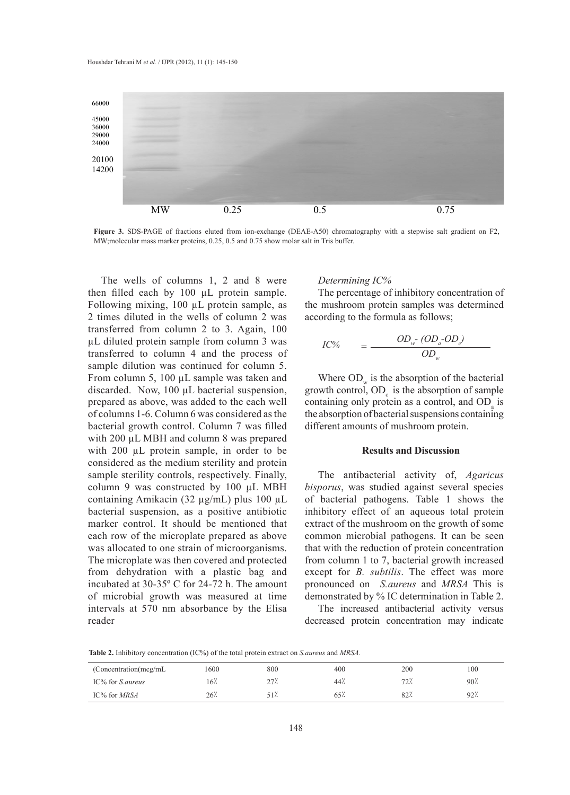

**Figure 3.** SDS-PAGE of fractions eluted from ion-exchange (DEAE-A50) chromatography with a stepwise salt gradient on F2, MW molecular mass marker proteins 0.25, 0.5 and 0.75 show molar salt in Tris buffer MW;molecular mass marker proteins, 0.25, 0.5 and 0.75 show molar salt in Tris buffer. chromatography with a stepwise salt gradient on F2, MW;molecular mass marker

The wells of columns 1, 2 and 8 were then filled each by 100 µL protein sample. Following mixing, 100 µL protein sample, as 2 times diluted in the wells of column 2 was transferred from column 2 to 3. Again, 100 µL diluted protein sample from column 3 was transferred to column 4 and the process of sample dilution was continued for column 5. From column 5, 100  $\mu$ L sample was taken and discarded. Now, 100 µL bacterial suspension, prepared as above, was added to the each well of columns 1-6. Column 6 was considered as the bacterial growth control. Column 7 was filled with 200 µL MBH and column 8 was prepared with 200  $\mu$ L protein sample, in order to be considered as the medium sterility and protein sample sterility controls, respectively. Finally, column 9 was constructed by 100 µL MBH containing Amikacin (32 µg/mL) plus 100 µL bacterial suspension, as a positive antibiotic marker control. It should be mentioned that each row of the microplate prepared as above was allocated to one strain of microorganisms. The microplate was then covered and protected from dehydration with a plastic bag and incubated at 30-35º C for 24-72 h. The amount of microbial growth was measured at time intervals at 570 nm absorbance by the Elisa reader

## *Determining IC%*

The percentage of inhibitory concentration of the mushroom protein samples was determined according to the formula as follows;

$$
IC\% = \frac{OD_{w} - (OD_{a} - OD_{c})}{OD_{w}}
$$

Where  $OD_{w}$  is the absorption of the bacterial growth control,  $OD<sub>c</sub>$  is the absorption of sample containing only protein as a control, and  $OD$ <sub>a</sub> is the absorption of bacterial suspensions containing different amounts of mushroom protein.

# **Results and Discussion**

The antibacterial activity of, *Agaricus bisporus*, was studied against several species of bacterial pathogens. Table 1 shows the inhibitory effect of an aqueous total protein extract of the mushroom on the growth of some common microbial pathogens. It can be seen that with the reduction of protein concentration from column 1 to 7, bacterial growth increased except for *B. subtilis*. The effect was more pronounced on *S.aureus* and *MRSA* This is demonstrated by % IC determination in Table 2.

The increased antibacterial activity versus decreased protein concentration may indicate

**Table 2.** Inhibitory concentration (IC%) of the total protein extract on *S.aureus* and *MRSA.*

| (Concentration(mcg/mL   | 1600   | 800  | 400 | 200         | 100             |
|-------------------------|--------|------|-----|-------------|-----------------|
| IC% for <i>S.aureus</i> | $16$ . | 27٪  | 44% | 72.<br>۰ سا | 90 <sup>7</sup> |
| IC% for <i>MRSA</i>     | 26%    | 517. | 654 | 82%         | 92 <sup>7</sup> |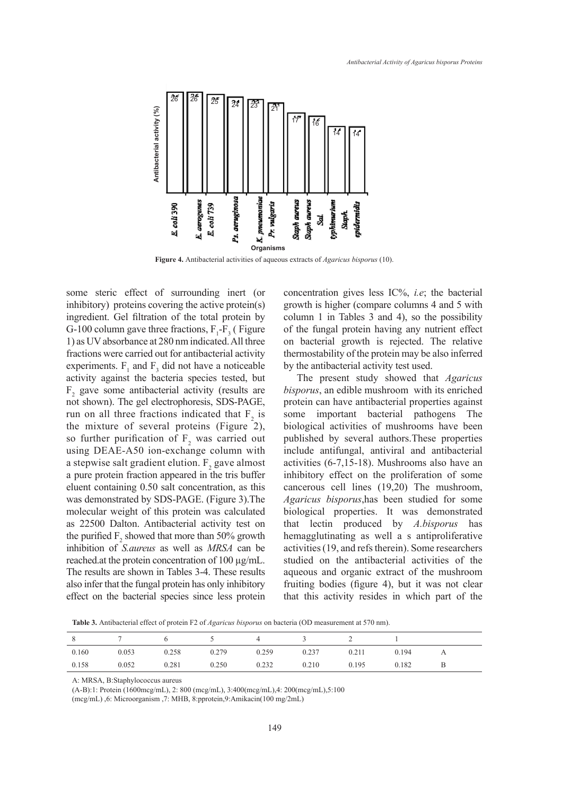

some steric effect of surrounding inert (or inhibitory) proteins covering the active protein(s) ingredient. Gel filtration of the total protein by G-100 column gave three fractions,  $F_1$ - $F_3$  (Figure 1) as UV absorbance at 280 nm indicated. All three fractions were carried out for antibacterial activity experiments.  $F_1$  and  $F_3$  did not have a noticeable activity against the bacteria species tested, but  $F_2$  gave some antibacterial activity (results are not shown). The gel electrophoresis, SDS-PAGE, run on all three fractions indicated that  $F_2$  is the mixture of several proteins (Figure 2), so further purification of  $F_2$  was carried out using DEAE-A50 ion-exchange column with a stepwise salt gradient elution.  $F_2$  gave almost a pure protein fraction appeared in the tris buffer eluent containing 0.50 salt concentration, as this was demonstrated by SDS-PAGE. (Figure 3).The molecular weight of this protein was calculated as 22500 Dalton. Antibacterial activity test on the purified  $F_2$  showed that more than 50% growth inhibition of *S.aureus* as well as *MRSA* can be reached.at the protein concentration of 100 µg/mL. The results are shown in Tables 3-4. These results also infer that the fungal protein has only inhibitory effect on the bacterial species since less protein

concentration gives less IC%, *i.e*; the bacterial growth is higher (compare columns 4 and 5 with column 1 in Tables 3 and 4), so the possibility of the fungal protein having any nutrient effect on bacterial growth is rejected. The relative thermostability of the protein may be also inferred by the antibacterial activity test used.

The present study showed that *Agaricus bisporus*, an edible mushroom with its enriched protein can have antibacterial properties against some important bacterial pathogens The biological activities of mushrooms have been published by several authors.These properties include antifungal, antiviral and antibacterial activities (6-7,15-18). Mushrooms also have an inhibitory effect on the proliferation of some cancerous cell lines (19,20) The mushroom, *Agaricus bisporus*,has been studied for some biological properties. It was demonstrated that lectin produced by *A.bisporus* has hemagglutinating as well a s antiproliferative activities (19, and refs therein). Some researchers studied on the antibacterial activities of the aqueous and organic extract of the mushroom fruiting bodies (figure 4), but it was not clear that this activity resides in which part of the

**Table 3.** Antibacterial effect of protein F2 of *Agaricus bisporus* on bacteria (OD measurement at 570 nm).

| 8     |       |       | $\overline{\phantom{a}}$ | 4     |       |       |       |  |
|-------|-------|-------|--------------------------|-------|-------|-------|-------|--|
| 0.160 | 0.053 | 0.258 | 0.279                    | 0.259 | 0.237 | 0.211 | 0.194 |  |
| 0.158 | 0.052 | 0.281 | 0.250                    | 0.232 | 0.210 | 0.195 | 0.182 |  |

A: MRSA, B:Staphylococcus aureus

(A-B):1: Protein (1600mcg/mL), 2: 800 (mcg/mL), 3:400(mcg/mL),4: 200(mcg/mL),5:100

(mcg/mL) ,6: Microorganism ,7: MHB, 8:pprotein,9:Amikacin(100 mg/2mL)